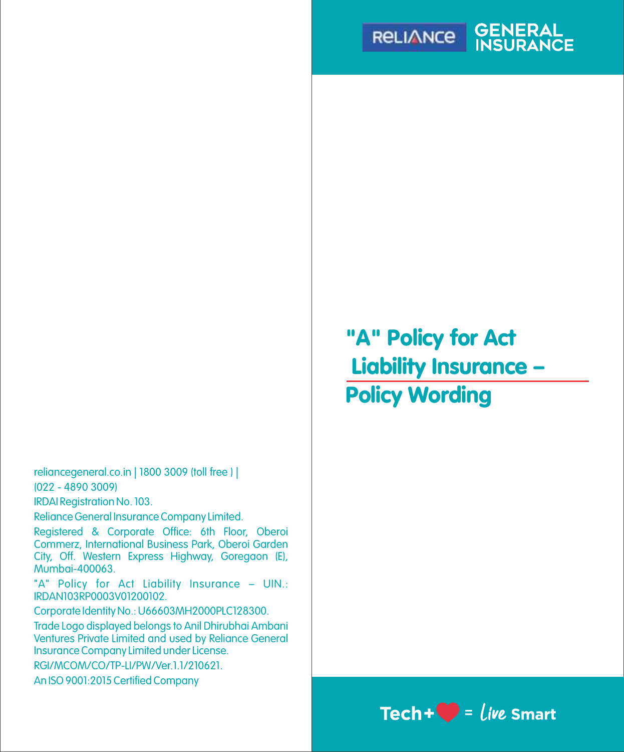

reliancegeneral.co.in | 1800 3009 (toll free ) | (022 - 4890 3009)

IRDAI Registration No. 103.

Reliance General Insurance Company Limited.

Registered & Corporate Office: 6th Floor, Oberoi Commerz, International Business Park, Oberoi Garden City, Off. Western Express Highway, Goregaon (E), Mumbai-400063.

"A" Policy for Act Liability Insurance – UIN.: IRDAN103RP0003V01200102.

Corporate Identity No.: U66603MH2000PLC128300.

Trade Logo displayed belongs to Anil Dhirubhai Ambani Ventures Private Limited and used by Reliance General Insurance Company Limited under License.

RGI/MCOM/CO/TP-LI/PW/Ver.1.1/210621.

An ISO 9001:2015 Certified Company

"A" Policy for Act Liability Insurance – Policy Wording

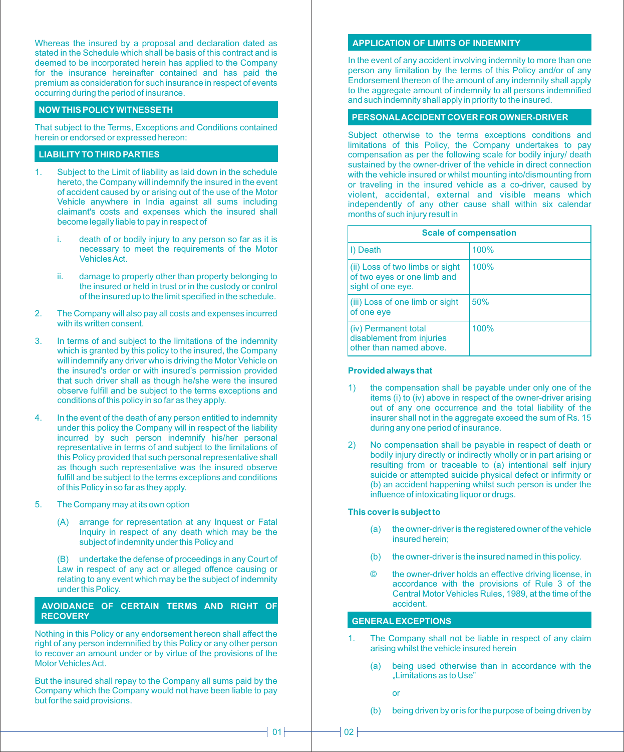Whereas the insured by a proposal and declaration dated as stated in the Schedule which shall be basis of this contract and is deemed to be incorporated herein has applied to the Company for the insurance hereinafter contained and has paid the premium as consideration for such insurance in respect of events occurring during the period of insurance.

# **NOW THIS POLICYWITNESSETH**

That subject to the Terms, Exceptions and Conditions contained herein or endorsed or expressed hereon:

## **LIABILITYTO THIRD PARTIES**

- 1. Subject to the Limit of liability as laid down in the schedule hereto, the Company will indemnify the insured in the event of accident caused by or arising out of the use of the Motor Vehicle anywhere in India against all sums including claimant's costs and expenses which the insured shall become legally liable to pay in respect of
	- i. death of or bodily injury to any person so far as it is necessary to meet the requirements of the Motor Vehicles Act.
	- ii. damage to property other than property belonging to the insured or held in trust or in the custody or control of the insured up to the limit specified in the schedule.
- 2. The Company will also pay all costs and expenses incurred with its written consent.
- 3. In terms of and subject to the limitations of the indemnity which is granted by this policy to the insured, the Company will indemnify any driver who is driving the Motor Vehicle on the insured's order or with insured's permission provided that such driver shall as though he/she were the insured observe fulfill and be subject to the terms exceptions and conditions of this policy in so far as they apply.
- 4. In the event of the death of any person entitled to indemnity under this policy the Company will in respect of the liability incurred by such person indemnify his/her personal representative in terms of and subject to the limitations of this Policy provided that such personal representative shall as though such representative was the insured observe fulfill and be subject to the terms exceptions and conditions of this Policy in so far as they apply.
- 5. The Company may at its own option
	- (A) arrange for representation at any Inquest or Fatal Inquiry in respect of any death which may be the subject of indemnity under this Policy and

(B) undertake the defense of proceedings in any Court of Law in respect of any act or alleged offence causing or relating to any event which may be the subject of indemnity under this Policy.

#### **AVOIDANCE OF CERTAIN TERMS AND RIGHT OF RECOVERY**

Nothing in this Policy or any endorsement hereon shall affect the right of any person indemnified by this Policy or any other person to recover an amount under or by virtue of the provisions of the Motor Vehicles Act.

But the insured shall repay to the Company all sums paid by the Company which the Company would not have been liable to pay but for the said provisions.

## **APPLICATION OF LIMITS OF INDEMNITY**

In the event of any accident involving indemnity to more than one person any limitation by the terms of this Policy and/or of any Endorsement thereon of the amount of any indemnity shall apply to the aggregate amount of indemnity to all persons indemnified and such indemnity shall apply in priority to the insured.

# **PERSONALACCIDENT COVER FOR OWNER-DRIVER**

Subject otherwise to the terms exceptions conditions and limitations of this Policy, the Company undertakes to pay compensation as per the following scale for bodily injury/ death sustained by the owner-driver of the vehicle in direct connection with the vehicle insured or whilst mounting into/dismounting from or traveling in the insured vehicle as a co-driver, caused by violent, accidental, external and visible means which independently of any other cause shall within six calendar months of such injury result in

| <b>Scale of compensation</b>                                                        |      |  |
|-------------------------------------------------------------------------------------|------|--|
| I) Death                                                                            | 100% |  |
| (ii) Loss of two limbs or sight<br>of two eyes or one limb and<br>sight of one eye. | 100% |  |
| (iii) Loss of one limb or sight<br>of one eye                                       | 50%  |  |
| (iv) Permanent total<br>disablement from injuries<br>other than named above.        | 100% |  |

#### **Provided always that**

- the compensation shall be payable under only one of the items (i) to (iv) above in respect of the owner-driver arising out of any one occurrence and the total liability of the insurer shall not in the aggregate exceed the sum of Rs. 15 during any one period of insurance.
- 2) No compensation shall be payable in respect of death or bodily injury directly or indirectly wholly or in part arising or resulting from or traceable to (a) intentional self injury suicide or attempted suicide physical defect or infirmity or (b) an accident happening whilst such person is under the influence of intoxicating liquor or drugs.

#### **This cover is subject to**

- (a) the owner-driver is the registered owner of the vehicle insured herein;
- (b) the owner-driver is the insured named in this policy.
- the owner-driver holds an effective driving license, in accordance with the provisions of Rule 3 of the Central Motor Vehicles Rules, 1989, at the time of the accident.

# **GENERALEXCEPTIONS**

- 1. The Company shall not be liable in respect of any claim arising whilst the vehicle insured herein
	- (a) being used otherwise than in accordance with the "Limitations as to Use"
		- or
	- (b) being driven by or is for the purpose of being driven by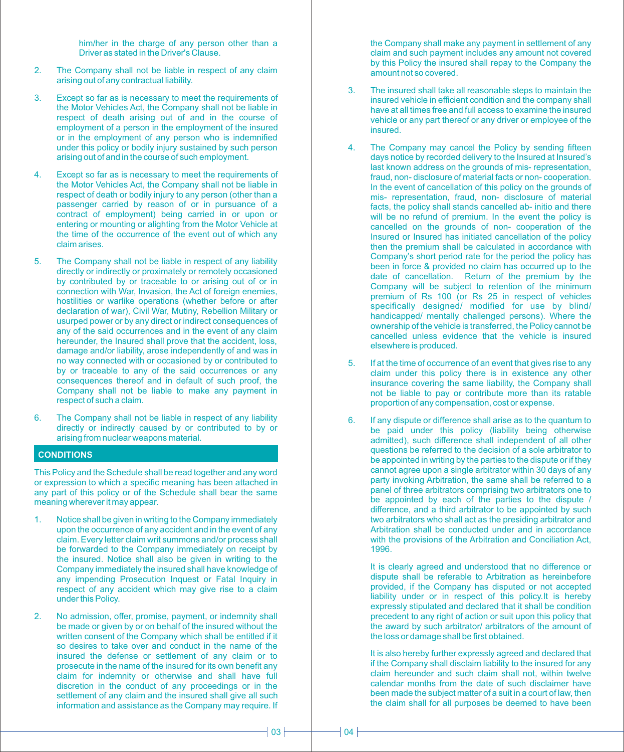him/her in the charge of any person other than a Driver as stated in the Driver's Clause.

- 2. The Company shall not be liable in respect of any claim arising out of any contractual liability.
- 3. Except so far as is necessary to meet the requirements of the Motor Vehicles Act, the Company shall not be liable in respect of death arising out of and in the course of employment of a person in the employment of the insured or in the employment of any person who is indemnified under this policy or bodily injury sustained by such person arising out of and in the course of such employment.
- 4. Except so far as is necessary to meet the requirements of the Motor Vehicles Act, the Company shall not be liable in respect of death or bodily injury to any person (other than a passenger carried by reason of or in pursuance of a contract of employment) being carried in or upon or entering or mounting or alighting from the Motor Vehicle at the time of the occurrence of the event out of which any claim arises.
- 5. The Company shall not be liable in respect of any liability directly or indirectly or proximately or remotely occasioned by contributed by or traceable to or arising out of or in connection with War, Invasion, the Act of foreign enemies, hostilities or warlike operations (whether before or after declaration of war), Civil War, Mutiny, Rebellion Military or usurped power or by any direct or indirect consequences of any of the said occurrences and in the event of any claim hereunder, the Insured shall prove that the accident, loss, damage and/or liability, arose independently of and was in no way connected with or occasioned by or contributed to by or traceable to any of the said occurrences or any consequences thereof and in default of such proof, the Company shall not be liable to make any payment in respect of such a claim.
- 6. The Company shall not be liable in respect of any liability directly or indirectly caused by or contributed to by or arising from nuclear weapons material.

## **CONDITIONS**

This Policy and the Schedule shall be read together and any word or expression to which a specific meaning has been attached in any part of this policy or of the Schedule shall bear the same meaning wherever it may appear.

- 1. Notice shall be given in writing to the Company immediately upon the occurrence of any accident and in the event of any claim. Every letter claim writ summons and/or process shall be forwarded to the Company immediately on receipt by the insured. Notice shall also be given in writing to the Company immediately the insured shall have knowledge of any impending Prosecution Inquest or Fatal Inquiry in respect of any accident which may give rise to a claim under this Policy.
- 2. No admission, offer, promise, payment, or indemnity shall be made or given by or on behalf of the insured without the written consent of the Company which shall be entitled if it so desires to take over and conduct in the name of the insured the defense or settlement of any claim or to prosecute in the name of the insured for its own benefit any claim for indemnity or otherwise and shall have full discretion in the conduct of any proceedings or in the settlement of any claim and the insured shall give all such information and assistance as the Company may require. If

the Company shall make any payment in settlement of any claim and such payment includes any amount not covered by this Policy the insured shall repay to the Company the amount not so covered.

- 3. The insured shall take all reasonable steps to maintain the insured vehicle in efficient condition and the company shall have at all times free and full access to examine the insured vehicle or any part thereof or any driver or employee of the insured.
- 4. The Company may cancel the Policy by sending fifteen days notice by recorded delivery to the Insured at Insured's last known address on the grounds of mis- representation, fraud, non- disclosure of material facts or non- cooperation. In the event of cancellation of this policy on the grounds of mis- representation, fraud, non- disclosure of material facts, the policy shall stands cancelled ab- initio and there will be no refund of premium. In the event the policy is cancelled on the grounds of non- cooperation of the Insured or Insured has initiated cancellation of the policy then the premium shall be calculated in accordance with Company's short period rate for the period the policy has been in force & provided no claim has occurred up to the date of cancellation. Return of the premium by the Company will be subject to retention of the minimum premium of Rs 100 (or Rs 25 in respect of vehicles specifically designed/ modified for use by blind/ handicapped/ mentally challenged persons). Where the ownership of the vehicle is transferred, the Policy cannot be cancelled unless evidence that the vehicle is insured elsewhere is produced.
- 5. If at the time of occurrence of an event that gives rise to any claim under this policy there is in existence any other insurance covering the same liability, the Company shall not be liable to pay or contribute more than its ratable proportion of any compensation, cost or expense.
- 6. If any dispute or difference shall arise as to the quantum to be paid under this policy (liability being otherwise admitted), such difference shall independent of all other questions be referred to the decision of a sole arbitrator to be appointed in writing by the parties to the dispute or if they cannot agree upon a single arbitrator within 30 days of any party invoking Arbitration, the same shall be referred to a panel of three arbitrators comprising two arbitrators one to be appointed by each of the parties to the dispute / difference, and a third arbitrator to be appointed by such two arbitrators who shall act as the presiding arbitrator and Arbitration shall be conducted under and in accordance with the provisions of the Arbitration and Conciliation Act, 1996.

It is clearly agreed and understood that no difference or dispute shall be referable to Arbitration as hereinbefore provided, if the Company has disputed or not accepted liability under or in respect of this policy.It is hereby expressly stipulated and declared that it shall be condition precedent to any right of action or suit upon this policy that the award by such arbitrator/ arbitrators of the amount of the loss or damage shall be first obtained.

It is also hereby further expressly agreed and declared that if the Company shall disclaim liability to the insured for any claim hereunder and such claim shall not, within twelve calendar months from the date of such disclaimer have been made the subject matter of a suit in a court of law, then the claim shall for all purposes be deemed to have been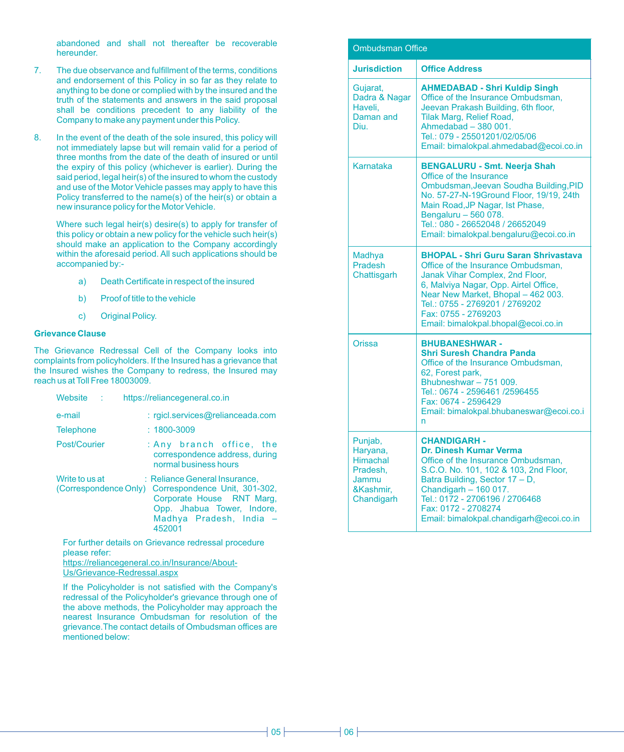abandoned and shall not thereafter be recoverable hereunder.

- 7. The due observance and fulfillment of the terms, conditions and endorsement of this Policy in so far as they relate to anything to be done or complied with by the insured and the truth of the statements and answers in the said proposal shall be conditions precedent to any liability of the Company to make any payment under this Policy.
- 8. In the event of the death of the sole insured, this policy will not immediately lapse but will remain valid for a period of three months from the date of the death of insured or until the expiry of this policy (whichever is earlier). During the said period, legal heir(s) of the insured to whom the custody and use of the Motor Vehicle passes may apply to have this Policy transferred to the name(s) of the heir(s) or obtain a new insurance policy for the Motor Vehicle.

Where such legal heir(s) desire(s) to apply for transfer of this policy or obtain a new policy for the vehicle such heir(s) should make an application to the Company accordingly within the aforesaid period. All such applications should be accompanied by:-

- a) Death Certificate in respect of the insured
- b) Proof of title to the vehicle
- c) Original Policy.

#### **Grievance Clause**

The Grievance Redressal Cell of the Company looks into complaints from policyholders. If the Insured has a grievance that the Insured wishes the Company to redress, the Insured may reach us at Toll Free 18003009.

| Website<br>- 11                         | https://reliancegeneral.co.in                                                                                                                                  |
|-----------------------------------------|----------------------------------------------------------------------------------------------------------------------------------------------------------------|
| e-mail                                  | : rgicl.services@relianceada.com                                                                                                                               |
| <b>Telephone</b>                        | $: 1800 - 3009$                                                                                                                                                |
| Post/Courier                            | : Any branch office, the<br>correspondence address, during<br>normal business hours                                                                            |
| Write to us at<br>(Correspondence Only) | : Reliance General Insurance,<br>Correspondence Unit, 301-302,<br>Corporate House RNT Marg.<br>Opp. Jhabua Tower, Indore,<br>Madhya Pradesh, India -<br>452001 |

For further details on Grievance redressal procedure please refer:

https://reliancegeneral.co.in/Insurance/About-Us/Grievance-Redressal.aspx

If the Policyholder is not satisfied with the Company's redressal of the Policyholder's grievance through one of the above methods, the Policyholder may approach the nearest Insurance Ombudsman for resolution of the grievance.The contact details of Ombudsman offices are mentioned below:

| <b>Ombudsman Office</b>                                                                |                                                                                                                                                                                                                                                                                                     |  |
|----------------------------------------------------------------------------------------|-----------------------------------------------------------------------------------------------------------------------------------------------------------------------------------------------------------------------------------------------------------------------------------------------------|--|
| <b>Jurisdiction</b>                                                                    | <b>Office Address</b>                                                                                                                                                                                                                                                                               |  |
| Gujarat,<br>Dadra & Nagar<br>Haveli.<br>Daman and<br>Diu.                              | <b>AHMEDABAD - Shri Kuldip Singh</b><br>Office of the Insurance Ombudsman,<br>Jeevan Prakash Building, 6th floor,<br><b>Tilak Marg, Relief Road.</b><br>Ahmedabad - 380 001.<br>Tel.: 079 - 25501201/02/05/06<br>Email: bimalokpal.ahmedabad@ecoi.co.in                                             |  |
| Karnataka                                                                              | <b>BENGALURU - Smt. Neerja Shah</b><br>Office of the Insurance<br>Ombudsman, Jeevan Soudha Building, PID<br>No. 57-27-N-19Ground Floor, 19/19, 24th<br>Main Road, JP Nagar, Ist Phase,<br>Bengaluru - 560 078.<br>Tel.: 080 - 26652048 / 26652049<br>Email: bimalokpal.bengaluru@ecoi.co.in         |  |
| <b>Madhya</b><br>Pradesh<br>Chattisgarh                                                | <b>BHOPAL - Shri Guru Saran Shrivastava</b><br>Office of the Insurance Ombudsman.<br>Janak Vihar Complex, 2nd Floor,<br>6, Malviya Nagar, Opp. Airtel Office,<br>Near New Market, Bhopal - 462 003.<br>Tel.: 0755 - 2769201 / 2769202<br>Fax: 0755 - 2769203<br>Email: bimalokpal.bhopal@ecoi.co.in |  |
| Orissa                                                                                 | <b>BHUBANESHWAR-</b><br>Shri Suresh Chandra Panda<br>Office of the Insurance Ombudsman.<br>62, Forest park,<br>Bhubneshwar - 751 009.<br>Tel.: 0674 - 2596461 /2596455<br>Fax: 0674 - 2596429<br>Email: bimalokpal.bhubaneswar@ecoi.co.i<br>n                                                       |  |
| Punjab,<br>Haryana,<br><b>Himachal</b><br>Pradesh.<br>Jammu<br>&Kashmir.<br>Chandigarh | <b>CHANDIGARH-</b><br>Dr. Dinesh Kumar Verma<br>Office of the Insurance Ombudsman,<br>S.C.O. No. 101, 102 & 103, 2nd Floor,<br>Batra Building, Sector 17 - D,<br>Chandigarh - 160 017.<br>Tel.: 0172 - 2706196 / 2706468<br>Fax: 0172 - 2708274<br>Email: bimalokpal.chandigarh@ecoi.co.in          |  |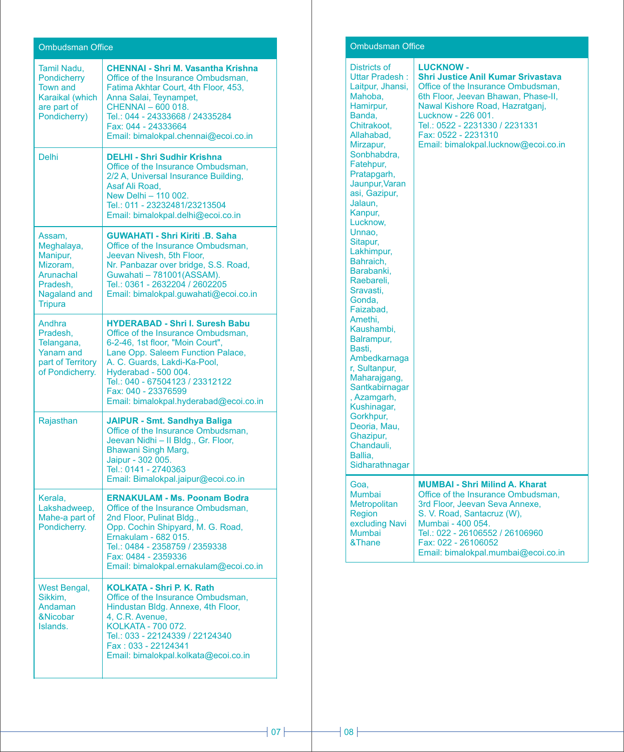| <b>Ombudsman Office</b>                                                                                 |                                                                                                                                                                                                                                                                                                                   |
|---------------------------------------------------------------------------------------------------------|-------------------------------------------------------------------------------------------------------------------------------------------------------------------------------------------------------------------------------------------------------------------------------------------------------------------|
| <b>Tamil Nadu.</b><br>Pondicherry<br><b>Town and</b><br>Karaikal (which<br>are part of<br>Pondicherry)  | <b>CHENNAI - Shri M. Vasantha Krishna</b><br>Office of the Insurance Ombudsman.<br>Fatima Akhtar Court, 4th Floor, 453,<br>Anna Salai, Teynampet,<br>CHENNAI - 600 018.<br>Tel.: 044 - 24333668 / 24335284<br>Fax: 044 - 24333664<br>Email: bimalokpal.chennai@ecoi.co.in                                         |
| <b>Delhi</b>                                                                                            | <b>DELHI - Shri Sudhir Krishna</b><br>Office of the Insurance Ombudsman.<br>2/2 A, Universal Insurance Building,<br>Asaf Ali Road.<br>New Delhi - 110 002.<br>Tel.: 011 - 23232481/23213504<br>Email: bimalokpal.delhi@ecoi.co.in                                                                                 |
| Assam,<br>Meghalaya,<br>Manipur,<br>Mizoram,<br><b>Arunachal</b><br>Pradesh,<br>Nagaland and<br>Tripura | <b>GUWAHATI - Shri Kiriti .B. Saha</b><br>Office of the Insurance Ombudsman,<br>Jeevan Nivesh, 5th Floor,<br>Nr. Panbazar over bridge, S.S. Road,<br>Guwahati - 781001(ASSAM).<br>Tel.: 0361 - 2632204 / 2602205<br>Email: bimalokpal.guwahati@ecoi.co.in                                                         |
| Andhra<br>Pradesh,<br>Telangana,<br><b>Yanam and</b><br>part of Territory<br>of Pondicherry.            | <b>HYDERABAD - Shri I. Suresh Babu</b><br>Office of the Insurance Ombudsman,<br>6-2-46, 1st floor, "Moin Court",<br>Lane Opp. Saleem Function Palace,<br>A. C. Guards, Lakdi-Ka-Pool,<br>Hyderabad - 500 004.<br>Tel.: 040 - 67504123 / 23312122<br>Fax: 040 - 23376599<br>Email: bimalokpal.hyderabad@ecoi.co.in |
| Rajasthan                                                                                               | <b>JAIPUR - Smt. Sandhya Baliga</b><br>Office of the Insurance Ombudsman,<br>Jeevan Nidhi - Il Bldg., Gr. Floor,<br>Bhawani Singh Marg,<br>Jaipur - 302 005.<br>Tel.: 0141 - 2740363<br>Email: Bimalokpal.jaipur@ecoi.co.in                                                                                       |
| Kerala,<br>Lakshadweep,<br>Mahe-a part of<br>Pondicherry.                                               | <b>ERNAKULAM - Ms. Poonam Bodra</b><br>Office of the Insurance Ombudsman,<br>2nd Floor, Pulinat Bldg.,<br>Opp. Cochin Shipyard, M. G. Road,<br>Ernakulam - 682 015.<br>Tel.: 0484 - 2358759 / 2359338<br>Fax: 0484 - 2359336<br>Email: bimalokpal.ernakulam@ecoi.co.in                                            |
| West Bengal,<br>Sikkim.<br>Andaman<br>&Nicobar<br>Islands.                                              | <b>KOLKATA - Shri P. K. Rath</b><br>Office of the Insurance Ombudsman,<br>Hindustan Bldg. Annexe, 4th Floor,<br>4, C.R. Avenue,<br>KOLKATA - 700 072.<br>Tel.: 033 - 22124339 / 22124340<br>Fax: 033 - 22124341<br>Email: bimalokpal.kolkata@ecoi.co.in                                                           |

# Ombudsman Office

| <b>Districts of</b><br>Uttar Pradesh:<br>Laitpur, Jhansi,<br>Mahoba,<br>Hamirpur,<br>Banda.<br>Chitrakoot,<br>Allahabad,<br>Mirzapur,<br>Sonbhabdra,<br>Fatehpur,<br>Pratapgarh,<br>Jaunpur, Varan<br>asi, Gazipur,<br>Jalaun,<br>Kanpur,<br>Lucknow,<br>Unnao,<br>Sitapur,<br>Lakhimpur,<br>Bahraich,<br>Barabanki.<br>Raebareli,<br>Sravasti,<br>Gonda,<br>Faizabad,<br>Amethi.<br>Kaushambi,<br>Balrampur,<br>Basti,<br>Ambedkarnaga<br>r, Sultanpur,<br>Maharajgang,<br>Santkabirnagar<br>, Azamgarh,<br>Kushinagar,<br>Gorkhpur,<br>Deoria, Mau,<br>Ghazipur,<br>Chandauli,<br>Ballia,<br>Sidharathnagar | <b>LUCKNOW-</b><br><b>Shri Justice Anil Kumar Srivastava</b><br>Office of the Insurance Ombudsman,<br>6th Floor, Jeevan Bhawan, Phase-II,<br>Nawal Kishore Road, Hazratgani.<br>Lucknow - 226 001.<br>Tel.: 0522 - 2231330 / 2231331<br>Fax: 0522 - 2231310<br>Email: bimalokpal.lucknow@ecoi.co.in |
|---------------------------------------------------------------------------------------------------------------------------------------------------------------------------------------------------------------------------------------------------------------------------------------------------------------------------------------------------------------------------------------------------------------------------------------------------------------------------------------------------------------------------------------------------------------------------------------------------------------|-----------------------------------------------------------------------------------------------------------------------------------------------------------------------------------------------------------------------------------------------------------------------------------------------------|
| Goa,<br><b>Mumbai</b><br><b>Metropolitan</b><br>Region<br>excluding Navi<br><b>Mumbai</b><br>&Thane                                                                                                                                                                                                                                                                                                                                                                                                                                                                                                           | <b>MUMBAI - Shri Milind A. Kharat</b><br>Office of the Insurance Ombudsman.<br>3rd Floor, Jeevan Seva Annexe,<br>S. V. Road, Santacruz (W),<br>Mumbai - 400 054.<br>Tel.: 022 - 26106552 / 26106960<br>Fax: 022 - 26106052<br>Email: bimalokpal.mumbai@ecoi.co.in                                   |